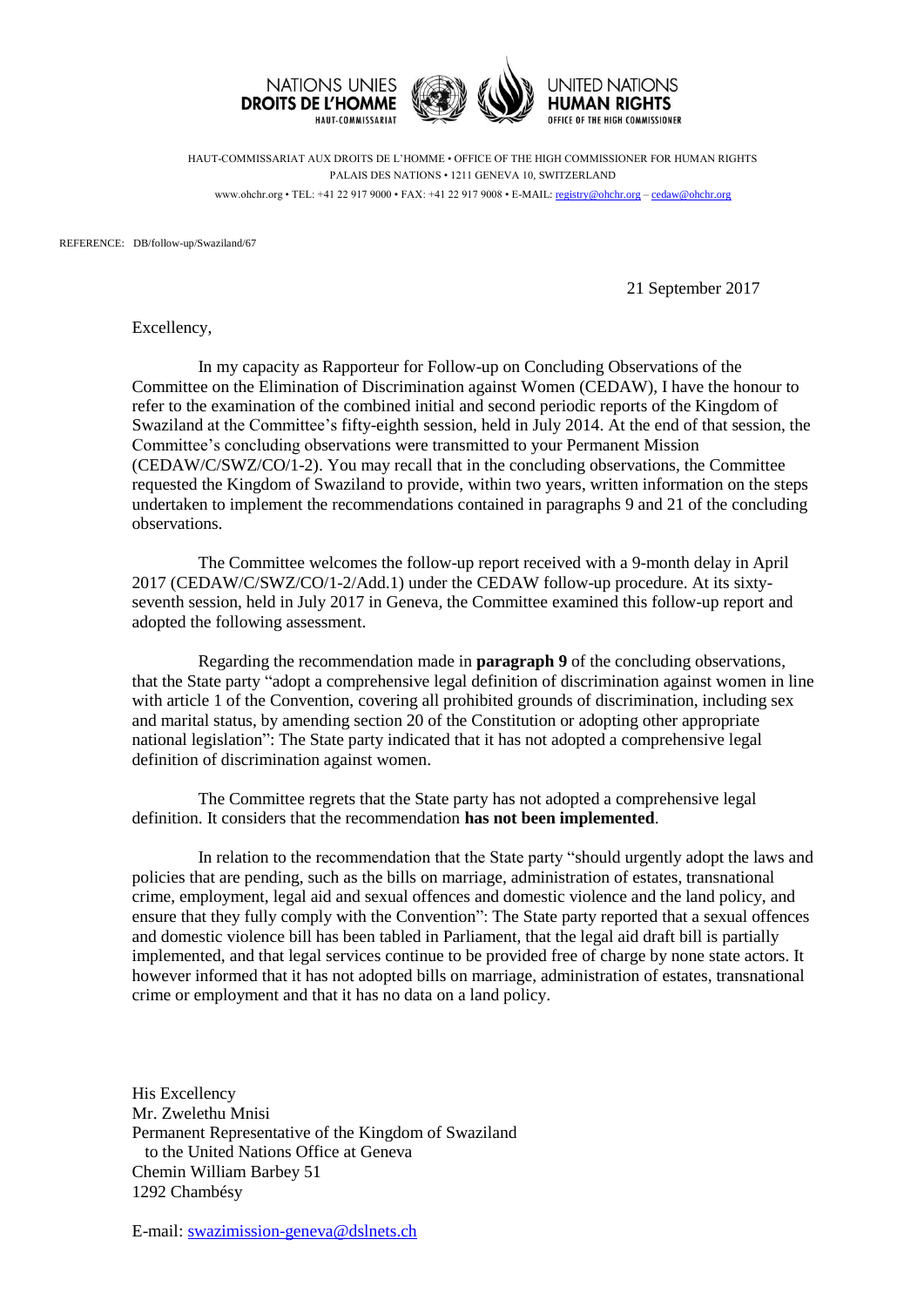

HAUT-COMMISSARIAT AUX DROITS DE L'HOMME • OFFICE OF THE HIGH COMMISSIONER FOR HUMAN RIGHTS PALAIS DES NATIONS • 1211 GENEVA 10, SWITZERLAND www.ohchr.org • TEL: +41 22 917 9000 • FAX: +41 22 917 9008 • E-MAIL: [registry@ohchr.org](mailto:registry@ohchr.org) – [cedaw@ohchr.org](mailto:cedaw@ohchr.org)

REFERENCE: DB/follow-up/Swaziland/67

21 September 2017

Excellency,

In my capacity as Rapporteur for Follow-up on Concluding Observations of the Committee on the Elimination of Discrimination against Women (CEDAW), I have the honour to refer to the examination of the combined initial and second periodic reports of the Kingdom of Swaziland at the Committee's fifty-eighth session, held in July 2014. At the end of that session, the Committee's concluding observations were transmitted to your Permanent Mission (CEDAW/C/SWZ/CO/1-2). You may recall that in the concluding observations, the Committee requested the Kingdom of Swaziland to provide, within two years, written information on the steps undertaken to implement the recommendations contained in paragraphs 9 and 21 of the concluding observations.

The Committee welcomes the follow-up report received with a 9-month delay in April 2017 (CEDAW/C/SWZ/CO/1-2/Add.1) under the CEDAW follow-up procedure. At its sixtyseventh session, held in July 2017 in Geneva, the Committee examined this follow-up report and adopted the following assessment.

Regarding the recommendation made in **paragraph 9** of the concluding observations, that the State party "adopt a comprehensive legal definition of discrimination against women in line with article 1 of the Convention, covering all prohibited grounds of discrimination, including sex and marital status, by amending section 20 of the Constitution or adopting other appropriate national legislation": The State party indicated that it has not adopted a comprehensive legal definition of discrimination against women.

The Committee regrets that the State party has not adopted a comprehensive legal definition. It considers that the recommendation **has not been implemented**.

In relation to the recommendation that the State party "should urgently adopt the laws and policies that are pending, such as the bills on marriage, administration of estates, transnational crime, employment, legal aid and sexual offences and domestic violence and the land policy, and ensure that they fully comply with the Convention": The State party reported that a sexual offences and domestic violence bill has been tabled in Parliament, that the legal aid draft bill is partially implemented, and that legal services continue to be provided free of charge by none state actors. It however informed that it has not adopted bills on marriage, administration of estates, transnational crime or employment and that it has no data on a land policy.

His Excellency Mr. Zwelethu Mnisi Permanent Representative of the Kingdom of Swaziland to the United Nations Office at Geneva Chemin William Barbey 51 1292 Chambésy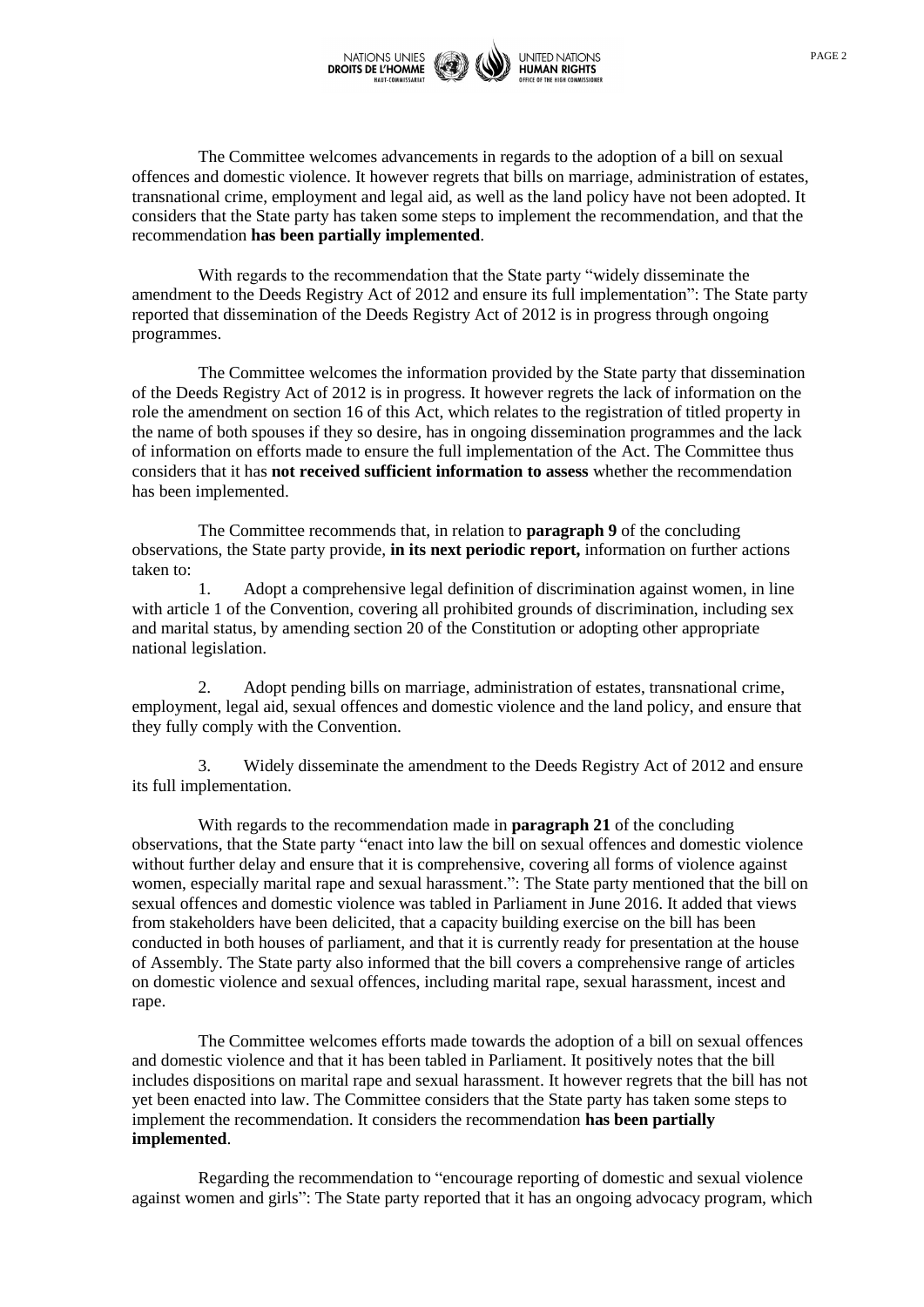

The Committee welcomes advancements in regards to the adoption of a bill on sexual offences and domestic violence. It however regrets that bills on marriage, administration of estates, transnational crime, employment and legal aid, as well as the land policy have not been adopted. It considers that the State party has taken some steps to implement the recommendation, and that the recommendation **has been partially implemented**.

With regards to the recommendation that the State party "widely disseminate the amendment to the Deeds Registry Act of 2012 and ensure its full implementation": The State party reported that dissemination of the Deeds Registry Act of 2012 is in progress through ongoing programmes.

The Committee welcomes the information provided by the State party that dissemination of the Deeds Registry Act of 2012 is in progress. It however regrets the lack of information on the role the amendment on section 16 of this Act, which relates to the registration of titled property in the name of both spouses if they so desire, has in ongoing dissemination programmes and the lack of information on efforts made to ensure the full implementation of the Act. The Committee thus considers that it has **not received sufficient information to assess** whether the recommendation has been implemented.

The Committee recommends that, in relation to **paragraph 9** of the concluding observations, the State party provide, **in its next periodic report,** information on further actions taken to:

1. Adopt a comprehensive legal definition of discrimination against women, in line with article 1 of the Convention, covering all prohibited grounds of discrimination, including sex and marital status, by amending section 20 of the Constitution or adopting other appropriate national legislation.

2. Adopt pending bills on marriage, administration of estates, transnational crime, employment, legal aid, sexual offences and domestic violence and the land policy, and ensure that they fully comply with the Convention.

3. Widely disseminate the amendment to the Deeds Registry Act of 2012 and ensure its full implementation.

With regards to the recommendation made in **paragraph 21** of the concluding observations, that the State party "enact into law the bill on sexual offences and domestic violence without further delay and ensure that it is comprehensive, covering all forms of violence against women, especially marital rape and sexual harassment.": The State party mentioned that the bill on sexual offences and domestic violence was tabled in Parliament in June 2016. It added that views from stakeholders have been delicited, that a capacity building exercise on the bill has been conducted in both houses of parliament, and that it is currently ready for presentation at the house of Assembly. The State party also informed that the bill covers a comprehensive range of articles on domestic violence and sexual offences, including marital rape, sexual harassment, incest and rape.

The Committee welcomes efforts made towards the adoption of a bill on sexual offences and domestic violence and that it has been tabled in Parliament. It positively notes that the bill includes dispositions on marital rape and sexual harassment. It however regrets that the bill has not yet been enacted into law. The Committee considers that the State party has taken some steps to implement the recommendation. It considers the recommendation **has been partially implemented**.

Regarding the recommendation to "encourage reporting of domestic and sexual violence against women and girls": The State party reported that it has an ongoing advocacy program, which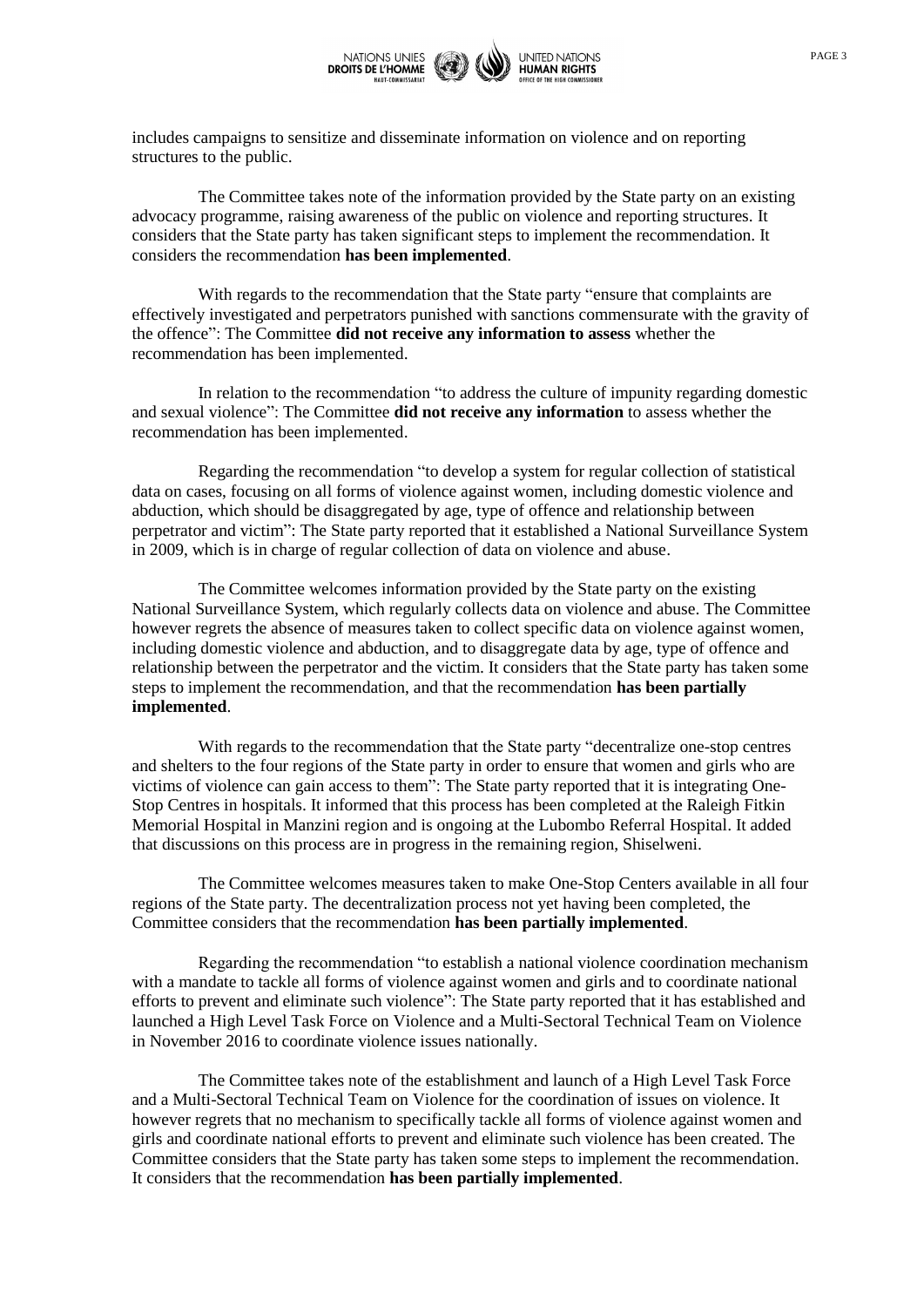

includes campaigns to sensitize and disseminate information on violence and on reporting structures to the public.

The Committee takes note of the information provided by the State party on an existing advocacy programme, raising awareness of the public on violence and reporting structures. It considers that the State party has taken significant steps to implement the recommendation. It considers the recommendation **has been implemented**.

With regards to the recommendation that the State party "ensure that complaints are effectively investigated and perpetrators punished with sanctions commensurate with the gravity of the offence": The Committee **did not receive any information to assess** whether the recommendation has been implemented.

In relation to the recommendation "to address the culture of impunity regarding domestic and sexual violence": The Committee **did not receive any information** to assess whether the recommendation has been implemented.

Regarding the recommendation "to develop a system for regular collection of statistical data on cases, focusing on all forms of violence against women, including domestic violence and abduction, which should be disaggregated by age, type of offence and relationship between perpetrator and victim": The State party reported that it established a National Surveillance System in 2009, which is in charge of regular collection of data on violence and abuse.

The Committee welcomes information provided by the State party on the existing National Surveillance System, which regularly collects data on violence and abuse. The Committee however regrets the absence of measures taken to collect specific data on violence against women, including domestic violence and abduction, and to disaggregate data by age, type of offence and relationship between the perpetrator and the victim. It considers that the State party has taken some steps to implement the recommendation, and that the recommendation **has been partially implemented**.

With regards to the recommendation that the State party "decentralize one-stop centres and shelters to the four regions of the State party in order to ensure that women and girls who are victims of violence can gain access to them": The State party reported that it is integrating One-Stop Centres in hospitals. It informed that this process has been completed at the Raleigh Fitkin Memorial Hospital in Manzini region and is ongoing at the Lubombo Referral Hospital. It added that discussions on this process are in progress in the remaining region, Shiselweni.

The Committee welcomes measures taken to make One-Stop Centers available in all four regions of the State party. The decentralization process not yet having been completed, the Committee considers that the recommendation **has been partially implemented**.

Regarding the recommendation "to establish a national violence coordination mechanism with a mandate to tackle all forms of violence against women and girls and to coordinate national efforts to prevent and eliminate such violence": The State party reported that it has established and launched a High Level Task Force on Violence and a Multi-Sectoral Technical Team on Violence in November 2016 to coordinate violence issues nationally.

The Committee takes note of the establishment and launch of a High Level Task Force and a Multi-Sectoral Technical Team on Violence for the coordination of issues on violence. It however regrets that no mechanism to specifically tackle all forms of violence against women and girls and coordinate national efforts to prevent and eliminate such violence has been created. The Committee considers that the State party has taken some steps to implement the recommendation. It considers that the recommendation **has been partially implemented**.